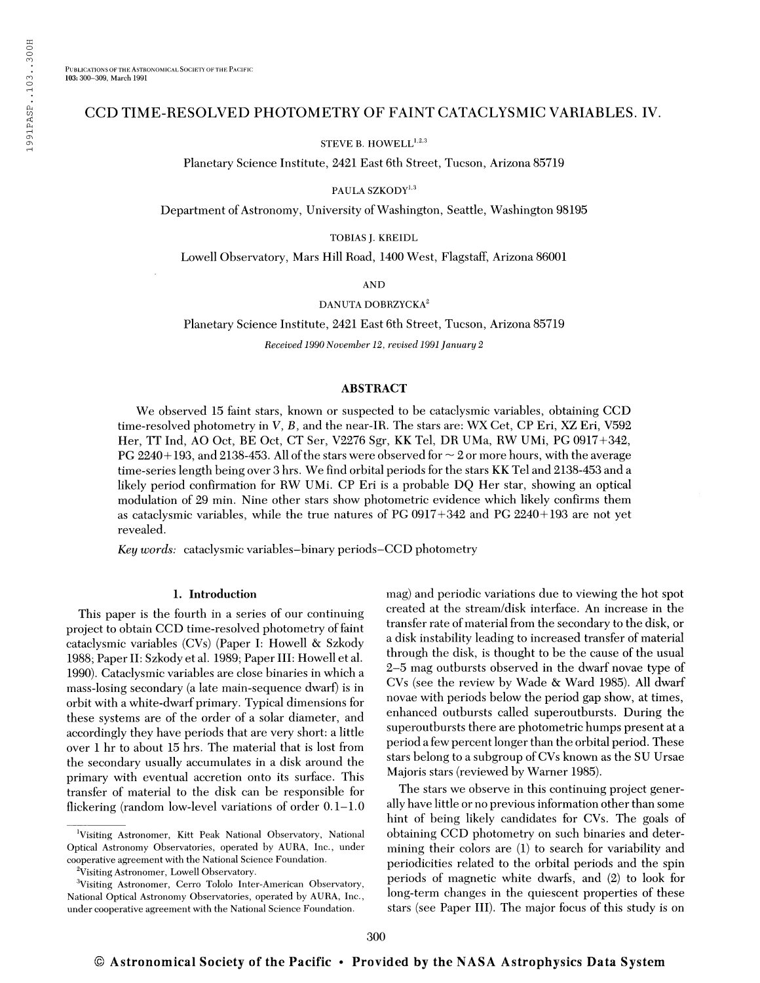## CCD TIME-RESOLVED PHOTOMETRY OF FAINT CATACLYSMIC VARIABLES. IV.

STEVE B. HOWELL<sup>1,2,3</sup>

Planetary Science Institute, 2421 East 6th Street, Tucson, Arizona 85719

PAULA SZKODY<sup>1,3</sup>

Department of Astronomy, University of Washington, Seattle, Washington 98195

TOBIAS J. KREIDL

Lowell Observatory, Mars Hill Road, 1400 West, Flagstaff, Arizona 86001

AND

DANUTA DOBRZYCKA<sup>2</sup>

Planetary Science Institute, 2421 East 6th Street, Tucson, Arizona 85719

Received 1990 November 12, revised 1991 January 2

## ABSTRACT

We observed 15 faint stars, known or suspected to be cataclysmic variables, obtaining CCD time-resolved photometry in V, B, and the near-IR. The stars are: WX Cet, CP Eri, XZ Eri, V592 Her, IT Ind, AO Oct, RE Oct, CT Ser, V2276 Sgr, KK Tel, DR UMa, RW UMi, PC 0917+342, PG 2240+193, and 2138-453. All of the stars were observed for  $\sim$  2 or more hours, with the average time-series length being over 3 hrs. We find orbital periods for the stars KK Tel and 2138-453 and a likely period confirmation for RW UMi. CP Eri is a probable DQ Her star, showing an optical modulation of 29 min. Nine other stars show photometric evidence which likely confirms them as cataclysmic variables, while the true natures of PC 0917+342 and PC 2240+193 are not yet revealed.

Key words: cataclysmic variables-binary periods-CCD photometry

#### 1. Introduction

This paper is the fourth in a series of our continuing project to obtain CCD time-resolved photometry of faint cataclysmic variables (CVs) (Paper I: Howell & Szkody 1988; Paper II: Szkody et al. 1989; Paper III: Howell et al. 1990). Cataclysmic variables are close binaries in which a mass-losing secondary (a late main-sequence dwarf) is in orbit with a white-dwarf primary. Typical dimensions for these systems are of the order of a solar diameter, and accordingly they have periods that are very short: a little over <sup>1</sup> hr to about 15 hrs. The material that is lost from the secondary usually accumulates in a disk around the primary with eventual accretion onto its surface. This transfer of material to the disk can be responsible for flickering (random low-level variations of order 0.1-1.0 mag) and periodic variations due to viewing the hot spot created at the stream/disk interface. An increase in the transfer rate of material from the secondary to the disk, or a disk instability leading to increased transfer of material through the disk, is thought to be the cause of the usual 2-5 mag outbursts observed in the dwarf novae type of CVs (see the review by Wade & Ward 1985). All dwarf novae with periods below the period gap show, at times, enhanced outbursts called superoutbursts. During the superoutbursts there are photometric humps present at a period a few percent longer than the orbital period. These stars belong to a subgroup of CVs known as the SU Ursae Majoris stars (reviewed by Warner 1985).

The stars we observe in this continuing project generally have little or no previous information other than some hint of being likely candidates for CVs. The goals of obtaining CCD photometry on such binaries and determining their colors are (1) to search for variability and periodicities related to the orbital periods and the spin periods of magnetic white dwarfs, and (2) to look for long-term changes in the quiescent properties of these stars (see Paper III). The major focus of this study is on

Visiting Astronomer, Kitt Peak National Observatory, National Optical Astronomy Observatories, operated by AURA, Inc., under cooperative agreement with the National Science Foundation.

<sup>&</sup>lt;sup>2</sup>Visiting Astronomer, Lowell Observatory.

<sup>3</sup>Visiting Astronomer, Cerro Tololo Inter-American Observatory, National Optical Astronomy Observatories, operated by AURA, Inc., under cooperative agreement with the National Science Foundation.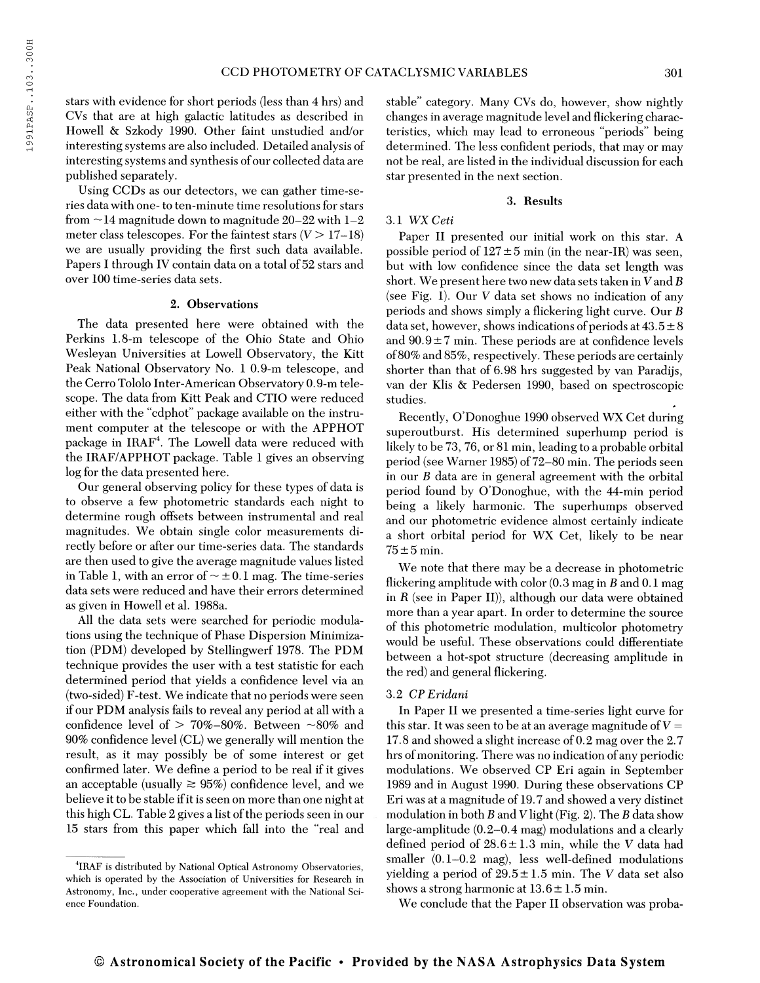stars with evidence for short periods (less than 4 hrs) and CVs that are at high galactic latitudes as described in Howell & Szkody 1990. Other faint unstudied and/or interesting systems are also included. Detailed analysis of interesting systems and synthesis ofour collected data are published separately.

Using CCDs as our detectors, we can gather time-series data with one- to ten-minute time resolutions for stars from  $\sim$  14 magnitude down to magnitude 20–22 with 1–2 meter class telescopes. For the faintest stars  $(V > 17-18)$ we are usually providing the first such data available. Papers I through IV contain data on a total of 52 stars and over 100 time-series data sets.

#### 2. Observations

The data presented here were obtained with the Perkins 1.8-m telescope of the Ohio State and Ohio Wesleyan Universities at Lowell Observatory, the Kitt Peak National Observatory No. <sup>1</sup> 0.9-m telescope, and the Cerro Tololo Inter-American Observatory 0.9-m telescope. The data from Kitt Peak and CTIO were reduced either with the "cdphot" package available on the instrument computer at the telescope or with the APPHOT package in IRAF<sup>4</sup>. The Lowell data were reduced with the IRAF/APPHOT package. Table <sup>1</sup> gives an observing log for the data presented here.

Our general observing policy for these types of data is to observe a few photometric standards each night to determine rough offsets between instrumental and real magnitudes. We obtain single color measurements directly before or after our time-series data. The standards are then used to give the average magnitude values listed in Table 1, with an error of  $\sim \pm 0.1$  mag. The time-series data sets were reduced and have their errors determined as given in Howell et al. 1988a.

All the data sets were searched for periodic modulations using the technique of Phase Dispersion Minimization (PDM) developed by Stellingwerf 1978. The PDM technique provides the user with a test statistic for each determined period that yields a confidence level via an (two-sided) F-test. We indicate that no periods were seen if our PDM analysis fails to reveal any period at all with a confidence level of  $> 70\% - 80\%$ . Between  $\sim$ 80% and 90% confidence level (CL) we generally will mention the result, as it may possibly be of some interest or get confirmed later. We define a period to be real if it gives an acceptable (usually  $\geq 95\%$ ) confidence level, and we believe it to be stable if it is seen on more than one night at this high CL. Table 2 gives a list of the periods seen in our 15 stars from this paper which fall into the "real and

stable" category. Many CVs do, however, show nightly changes in average magnitude level and flickering characteristics, which may lead to erroneous "periods" being determined. The less confident periods, that may or may not be real, are listed in the individual discussion for each star presented in the next section.

#### 3. Results

## 3.1 WX Ceti

Paper II presented our initial work on this star. A possible period of  $127 \pm 5$  min (in the near-IR) was seen, but with low confidence since the data set length was short. We present here two new data sets taken in  $V$  and  $B$ (see Fig. 1). Our V data set shows no indication of any periods and shows simply a flickering light curve. Our data set, however, shows indications of periods at  $43.5 \pm 8$ and  $90.9 \pm 7$  min. These periods are at confidence levels of80% and 85%, respectively. These periods are certainly shorter than that of 6.98 hrs suggested by van Paradijs, van der Klis & Pedersen 1990, based on spectroscopic studies.

Recently, O'Donoghue 1990 observed WX Cet during superoutburst. His determined superhump period is likely to be 73, 76, or 81 min, leading to a probable orbital period (see Warner 1985) of72-80 min. The periods seen in our  $B$  data are in general agreement with the orbital period found by O'Donoghue, with the 44-min period being a likely harmonic. The superhumps observed and our photometric evidence almost certainly indicate a short orbital period for WX Cet, likely to be near  $75 \pm 5$  min.

We note that there may be a decrease in photometric flickering amplitude with color  $(0.3 \text{ mag in } B \text{ and } 0.1 \text{ mag})$ in R (see in Paper II)), although our data were obtained more than a year apart. In order to determine the source of this photometric modulation, multicolor photometry would be useful. These observations could differentiate between a hot-spot structure (decreasing amplitude in the red) and general flickering.

## 3.2 CP Eridani

In Paper II we presented a time-series light curve for this star. It was seen to be at an average magnitude of  $V =$ 17.8 and showed a slight increase of 0.2 mag over the 2.7 hrs of monitoring. There was no indication of any periodic modulations. We observed CP Eri again in September 1989 and in August 1990. During these observations CP Eri was at a magnitude of 19.7 and showed a very distinct modulation in both  $B$  and  $V$  light (Fig. 2). The  $B$  data show large-amplitude (0.2-0.4 mag) modulations and a clearly defined period of  $28.6 \pm 1.3$  min, while the V data had smaller (0.1-0.2 mag), less well-defined modulations yielding a period of  $29.5 \pm 1.5$  min. The V data set also shows a strong harmonic at  $13.6 \pm 1.5$  min.

We conclude that the Paper II observation was proba-

<sup>4</sup> IRAF is distributed by National Optical Astronomy Observatories, which is operated by the Association of Universities for Research in Astronomy, Inc., under cooperative agreement with the National Science Foundation.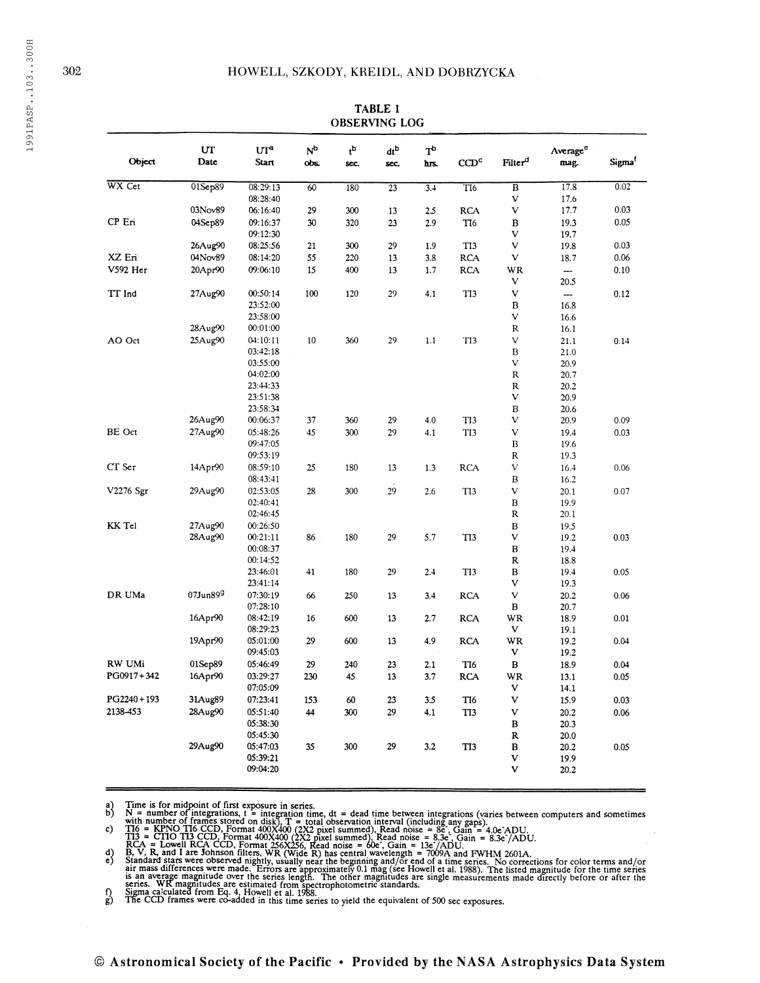| Object         | UT<br>Date      | UI <sup>a</sup><br><b>Start</b> | N <sub>p</sub><br>obs. | $\mathfrak{t}^{\rm b}$<br>sec. | dtb<br>sec. | $T^b$<br>hrs. | $\mathbf{CCD}^{\mathsf{c}}$ | Filter <sup>d</sup> | Average <sup>e</sup><br>mag. | Sigma <sup>1</sup> |
|----------------|-----------------|---------------------------------|------------------------|--------------------------------|-------------|---------------|-----------------------------|---------------------|------------------------------|--------------------|
| WX Cet         | 01Sep89         | 08:29:13<br>08:28:40            | 60                     | 180                            | 23          | 3.4           | T <sub>16</sub>             | $\overline{B}$<br>v | 17.8<br>17.6                 | 0.02               |
|                | 03Nov89         | 06:16:40                        | 29                     | 300                            | 13          | 2.5           | <b>RCA</b>                  | V                   | 17.7                         | 0.03               |
| CP Eri         | 04Sep89         | 09:16:37                        | 30                     | 320                            | 23          | 2.9           | T <sub>16</sub>             | в                   | 19.3                         | 0.05               |
|                |                 | 09:12:30                        |                        |                                |             |               |                             | v                   | 19.7                         |                    |
|                | 26Aug90         | 08:25:56                        | 21                     | 300                            | 29          | 1.9           | TI3                         | V                   | 19.8                         | 0.03               |
| XZ Eri         | 04Nov89         | 08:14:20                        | 55                     | 220                            | 13          | 3.8           | <b>RCA</b>                  | V                   | 18.7                         | 0.06               |
| V592 Her       | 20Apr90         | 09:06:10                        | 15                     | 400                            | 13          | 1.7           | <b>RCA</b>                  | WR                  | $\overline{\phantom{0}}$     | 0.10               |
|                |                 |                                 |                        |                                |             |               |                             | V                   | 20.5                         |                    |
| TT Ind         | 27Aug90         | 00:50:14                        | 100                    | 120                            | 29          | 4.1           | T <sub>13</sub>             | $\mathbf V$         | $\overline{\phantom{a}}$     | 0.12               |
|                |                 | 23:52:00                        |                        |                                |             |               |                             | В                   | 16.8                         |                    |
|                |                 | 23:58:00                        |                        |                                |             |               |                             | v                   | 16.6                         |                    |
|                | 28Aug90         | 00:01:00                        |                        |                                |             |               |                             | R                   | 16.1                         |                    |
| AO Oct         | 25Aug90         | 04:10:11                        | 10                     | 360                            | 29          | 1.1           | T <sub>13</sub>             | V                   | 21.1                         | 0.14               |
|                |                 | 03:42:18                        |                        |                                |             |               |                             | B                   | 21.0                         |                    |
|                |                 | 03:55:00                        |                        |                                |             |               |                             | V                   | 20.9                         |                    |
|                |                 | 04:02:00                        |                        |                                |             |               |                             | R                   | 20.7                         |                    |
|                |                 | 23:44:33                        |                        |                                |             |               |                             | R                   | 20.2                         |                    |
|                |                 | 23:51:38                        |                        |                                |             |               |                             | V                   | 20.9                         |                    |
|                |                 | 23:58:34                        |                        |                                |             |               |                             | B                   | 20.6                         |                    |
|                | 26Aug90         | 00:06:37                        | 37                     | 360                            | 29          | 4.0           | TI3                         | v                   | 20.9                         | 0.09               |
| BE Oct         | 27Aug90         | 05:48:26                        | 45                     | 300                            | 29          | 4.1           | TI3                         | V                   | 19.4                         | 0.03               |
|                |                 | 09:47:05                        |                        |                                |             |               |                             | В                   | 19.6                         |                    |
|                |                 | 09:53:19                        |                        |                                |             |               |                             | ${\sf R}$           | 19.3                         |                    |
| CT Ser         | 14Apr90         | 08:59:10                        | 25                     | 180                            | 13          | 1.3           | <b>RCA</b>                  | V                   | 16.4                         | 0.06               |
|                |                 | 08:43:41                        |                        |                                |             |               |                             | B                   | 16.2                         |                    |
| V2276 Sgr      | 29Aug90         | 02:53:05                        | 28                     | 300                            | 29          | 2.6           | T <sub>13</sub>             | $\mathbf V$         | 20.1                         | 0.07               |
|                |                 | 02:40:41                        |                        |                                |             |               |                             | В                   | 19.9                         |                    |
|                |                 | 02:46:45                        |                        |                                |             |               |                             | R                   | 20.1                         |                    |
| KK Tel         | 27Aug90         | 00:26:50                        |                        |                                |             |               |                             | B                   | 19.5                         |                    |
|                | 28Aug90         | 00:21:11                        | 86                     | 180                            | 29          | 5.7           | TI3                         | v                   | 19.2                         | 0.03               |
|                |                 | 00:08:37                        |                        |                                |             |               |                             | $\, {\bf B}$        | 19.4                         |                    |
|                |                 | 00:14:52                        |                        |                                |             |               |                             | R                   | 18.8                         |                    |
|                |                 | 23:46:01                        | 41                     | 180                            | 29          | 2.4           | TI3                         | в                   | 19.4                         | 0.05               |
|                |                 | 23:41:14                        |                        |                                |             |               |                             | v                   | 19.3                         |                    |
| DR UMa         | $07$ Jun $89^9$ | 07:30:19                        | 66                     | 250                            | 13          | 3.4           | <b>RCA</b>                  | v                   | 20.2                         | 0.06               |
|                |                 | 07:28:10                        |                        |                                |             |               |                             | в                   | 20.7                         |                    |
|                | 16Apr90         | 08:42:19                        | 16                     | 600                            | 13          | 2.7           | <b>RCA</b>                  | WR                  | 18.9                         | 0.01               |
|                |                 | 08:29:23                        |                        |                                |             |               |                             | V                   | 19.1                         |                    |
|                | 19Apr90         | 05:01:00                        | 29                     | 600                            | 13          | 4.9           | <b>RCA</b>                  | WR                  | 19.2                         | 0.04               |
|                |                 | 09:45:03                        |                        |                                |             |               |                             | v                   | 19.2                         |                    |
| RW UMi         | 01Sep89         | 05:46:49                        | 29                     | 240                            | 23          | 2.1           | TI6                         | в                   | 18.9                         | 0.04               |
| PG0917+342     | 16Apr90         | 03:29:27                        | 230                    | 45                             | 13          | 3.7           | <b>RCA</b>                  | WR                  | 13.1                         | 0.05               |
|                |                 | 07:05:09                        |                        |                                |             |               |                             | V                   | 14.1                         |                    |
| $PG2240 + 193$ | 31Aug89         | 07:23:41                        | 153                    | 60                             | 23          | 3.5           | TI6                         | V                   | 15.9                         | 0.03               |
| 2138-453       | 28Aug90         | 05:51:40                        | 44                     | 300                            | 29          | 4.1           | TI3                         | V                   | 20.2                         | 0.06               |
|                |                 | 05:38:30                        |                        |                                |             |               |                             | в                   | 20.3                         |                    |
|                |                 | 05:45:30                        |                        |                                |             |               |                             | R                   | 20.0                         |                    |
|                | 29Aug90         | 05:47:03                        | 35                     | 300                            | 29          | 3.2           | TI3                         | в                   | 20.2                         | 0.05               |
|                |                 | 05:39:21                        |                        |                                |             |               |                             | V                   | 19.9                         |                    |
|                |                 | 09:04:20                        |                        |                                |             |               |                             | V                   | 20.2                         |                    |

# TABLE <sup>1</sup>

 $\begin{pmatrix} a \\ b \end{pmatrix}$ 

 $c)$ 

 $\begin{pmatrix} d \\ e \end{pmatrix}$ 

B, V, R, and I are Johnson filters, WR (Wide R) has central wavelength = 7009A and FWHM 2601A.<br>Standard stars were observed nightly, usually near the beginning and/or end of a time series. No corrections for color terms an series. WK magnitudes are estimated from spectrophotometric standards.<br>Sigma calculated from Eq. 4. Howell et al. 1988.<br>The CCD frames were co-added in this time series to yield the equivalent of 500 sec exposures.

 $\binom{f}{g}$ 

Time is for midpoint of first exposure in series.<br>Not a number of integrations,  $t =$  integration time, dt = dead time between integrations (varies between computers and sometimes<br>with number of integrations,  $t =$  integrat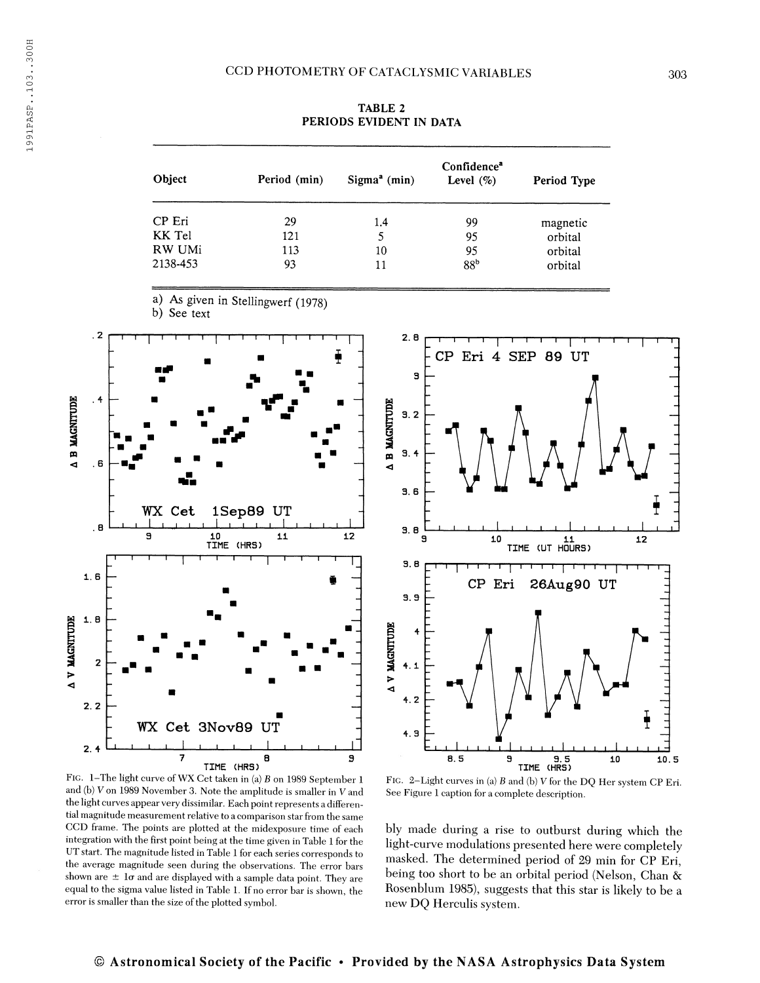TABLE 2 PERIODS EVIDENT IN DATA

| Object   | Period (min) | $Sigma^a$ (min) | Confidence <sup>a</sup><br>Level $(\% )$ | Period Type |
|----------|--------------|-----------------|------------------------------------------|-------------|
| CP Eri   | 29           | 1.4             | 99                                       | magnetic    |
| KK Tel   | 121          | 5               | 95                                       | orbital     |
| RW UMi   | 113          | 10              | 95                                       | orbital     |
| 2138-453 | 93           | 11              | 88 <sup>b</sup>                          | orbital     |

a) As given in Stellingwerf (1978)

b) See text



FIG. 1-The light curve of WX Cet taken in (a)  $B$  on 1989 September 1 and (b) V on 1989 November 3. Note the amplitude is smaller in V and the light curves appear very dissimilar. Each point represents a differential magnitude measurement relative to a comparison star from the same CCD frame. The points are plotted at the midexposure time of each integration with the first point being at the time given in Table <sup>1</sup> for the UT start. The magnitude listed in Table <sup>1</sup> for each series corresponds to the average magnitude seen during the observations. The error bars shown are  $\pm$  10 and are displayed with a sample data point. They are equal to the sigma value listed in Table 1. If no error bar is shown, the error is smaller than the size of the plotted symbol.



FIG. 2-Light curves in (a) B and (b) V for the DQ Her system CP Eri. See Figure <sup>1</sup> caption for a complete description.

bly made during a rise to outburst during which the light-curve modulations presented here were completely masked. The determined period of 29 min for CP Eri, being too short to be an orbital period (Nelson, Chan & Rosenblum 1985), suggests that this star is likely to be a new DQ Herculis system.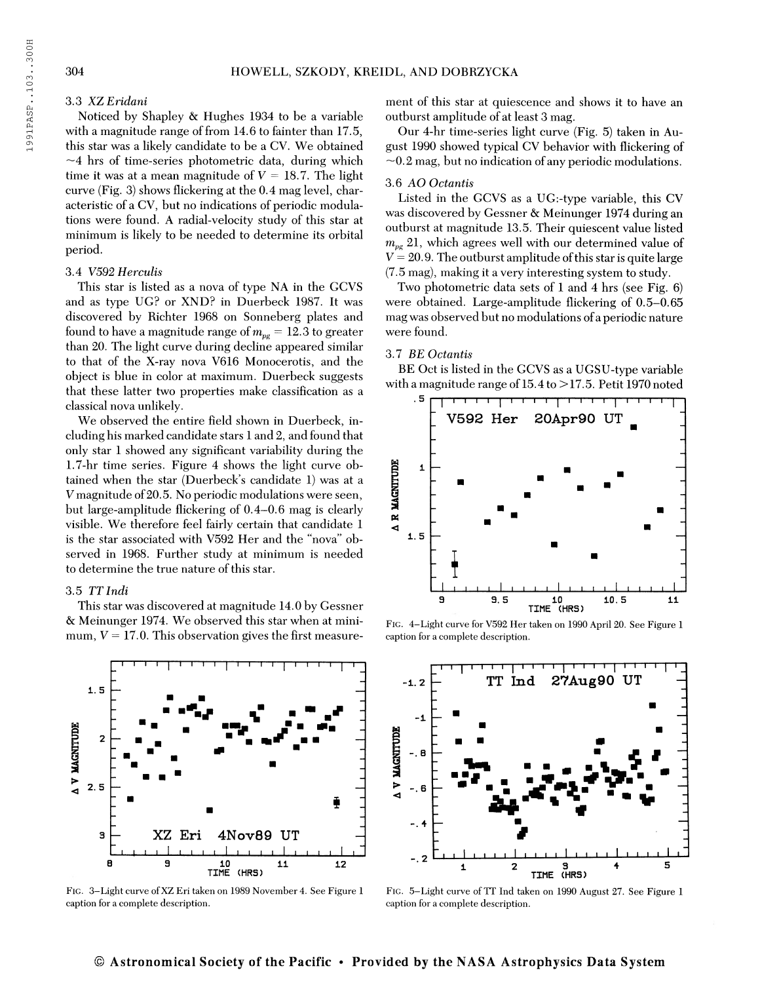#### 3.3 XZEridani

Noticed by Shapley & Hughes 1934 to be a variable with a magnitude range of from  $14.6$  to fainter than  $17.5$ , this star was a likely candidate to be a CV. We obtained  $\sim$ 4 hrs of time-series photometric data, during which time it was at a mean magnitude of  $V = 18.7$ . The light curve (Fig. 3) shows flickering at the 0.4 mag level, characteristic of a CV, but no indications of periodic modulations were found. A radial-velocity study of this star at minimum is likely to be needed to determine its orbital period.

#### 3.4 V592 Herculis

This star is listed as a nova of type NA in the GCVS and as type UG? or XND? in Duerbeck 1987. It was discovered by Richter 1968 on Sonneberg plates and found to have a magnitude range of  $m_{\nu e}=12.3$  to greater than 20. The light curve during decline appeared similar to that of the X-ray nova V616 Monocerotis, and the object is blue in color at maximum. Duerbeck suggests that these latter two properties make classification as a classical nova unlikely.

We observed the entire field shown in Duerbeck, including his marked candidate stars <sup>1</sup> and 2, and found that only star <sup>1</sup> showed any significant variability during the 1.7-hr time series. Figure 4 shows the light curve obtained when the star (Duerbeck's candidate 1) was at a V magnitude of 20.5. No periodic modulations were seen, but large-amplitude flickering of 0.4-0.6 mag is clearly visible. We therefore feel fairly certain that candidate <sup>1</sup> is the star associated with V592 Her and the "nova" observed in 1968. Further study at minimum is needed to determine the true nature of this star.

## 3.5 TT Indi

1. 5

 $\overline{2}$ 

A V MAGNITUDE

3

8

 $2.5$ 

This star was discovered at magnitude 14.0 by Gessner & Meinunger 1974. We observed this star when at minimum,  $V = 17.0$ . This observation gives the first measure-

. <u>. . . . . . . . . . . . . . . .</u>

. " ^ \_ <sup>y</sup> " '

 $\sim$   $\sim$ 

■■

«

ment of this star at quiescence and shows it to have an outburst amplitude of at least 3 mag.

Our 4-hr time-series light curve (Fig. 5) taken in August 1990 showed typical CV behavior with flickering of  $\sim$ 0.2 mag, but no indication of any periodic modulations.

## 3.6 AO Octantis

Listed in the GCVS as a UG:-type variable, this CV was discovered by Gessner & Meinunger 1974 during an outburst at magnitude 13.5. Their quiescent value listed  $m_{pe}$  21, which agrees well with our determined value of  $V = 20.9$ . The outburst amplitude of this star is quite large (7.5 mag), making it a very interesting system to study.

Two photometric data sets of <sup>1</sup> and 4 hrs (see Fig. 6) were obtained. Large-amplitude flickering of 0.5-0.65 mag was observed but no modulations ofa periodic nature were found.

#### 3.7 BE Octantis

BE Oct is listed in the GCVS as a UGSU-type variable with a magnitude range of  $15.4$  to  $>17.5$ . Petit 1970 noted



Fig. 4-Light curve for V592 Her taken on 1990 April 20. See Figure <sup>1</sup> caption for a complete description.



Fig. 3-Light curve ofXZ Eri taken on 1989 November 4. See Figure <sup>1</sup> caption for a complete description.

XZ Eri 4Nov89 UT <sup>I</sup> <sup>I</sup> <sup>I</sup> <sup>I</sup> I—I <sup>I</sup> <sup>I</sup> <sup>I</sup> <sup>I</sup> <sup>I</sup> <sup>I</sup> <sup>I</sup> <sup>I</sup> <sup>I</sup> ' ' <sup>I</sup> <sup>I</sup> '

> 9 10 11 12 TIME (HRS)

Fig. 5-Light curve of TT Ind taken on 1990 August 27. See Figure <sup>1</sup> caption for a complete description.

#### © Astronomical Society of the Pacific · Provided by the NASA Astrophysics Data System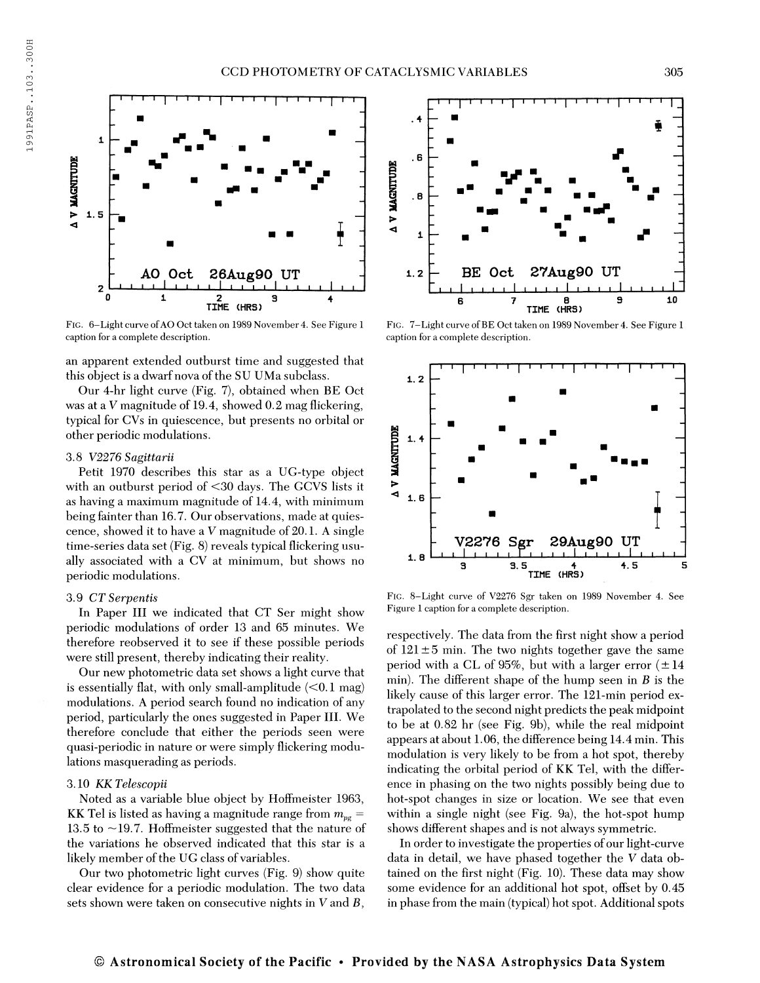

FIG. 6-Light curve of AO Oct taken on 1989 November 4. See Figure 1 caption for a complete description.

an apparent extended outburst time and suggested that this object is a dwarf nova of the SU UMa subclass.

Our 4-hr light curve (Fig. 7), obtained when BE Oct was at a V magnitude of 19.4, showed  $0.2$  mag flickering, typical for CVs in quiescence, but presents no orbital or other periodic modulations.

## 3.8 V2276 Sagittarii

Petit 1970 describes this star as a UG-type object with an outburst period of <30 days. The GCVS lists it as having a maximum magnitude of 14.4, with minimum being fainter than 16.7. Our observations, made at quiescence, showed it to have a V magnitude of 20.1. A single time-series data set (Fig. 8) reveals typical flickering usually associated with a CV at minimum, but shows no periodic modulations.

#### 3.9 CT Serpentis

In Paper III we indicated that CT Ser might show periodic modulations of order 13 and 65 minutes. We therefore reobserved it to see if these possible periods were still present, thereby indicating their reality.

Our new photometric data set shows a light curve that is essentially flat, with only small-amplitude  $\langle 0.1 \text{ mag} \rangle$ modulations. A period search found no indication of any period, particularly the ones suggested in Paper III. We therefore conclude that either the periods seen were quasi-periodic in nature or were simply flickering modulations masquerading as periods.

#### 3.10 KK Telescopii

Noted as a variable blue object by Hoffmeister 1963, KK Tel is listed as having a magnitude range from  $m_{\nu e}$  = 13.5 to ~19.7. Hoffmeister suggested that the nature of the variations he observed indicated that this star is a likely member of the UG class of variables.

Our two photometric light curves (Fig. 9) show quite clear evidence for a periodic modulation. The two data sets shown were taken on consecutive nights in  $V$  and  $B$ ,



FIG. 7-Light curve of BE Oct taken on 1989 November 4. See Figure 1 caption for a complete description.



Fig. 8-Light curve of V2276 Sgr taken on 1989 November 4. See Figure <sup>1</sup> caption for a complete description.

respectively. The data from the first night show a period of  $121 \pm 5$  min. The two nights together gave the same period with a CL of 95%, but with a larger error  $(\pm 14)$ min). The different shape of the hump seen in  $B$  is the likely cause of this larger error. The 121-min period extrapolated to the second night predicts the peak midpoint to be at 0.82 hr (see Fig. 9b), while the real midpoint appears at about 1.06, the difference being 14.4 min. This modulation is very likely to be from a hot spot, thereby indicating the orbital period of KK Tel, with the difference in phasing on the two nights possibly being due to hot-spot changes in size or location. We see that even within a single night (see Fig. 9a), the hot-spot hump shows different shapes and is not always symmetric.

In order to investigate the properties of our light-curve data in detail, we have phased together the V data obtained on the first night (Fig. 10). These data may show some evidence for an additional hot spot, offset by 0.45 in phase from the main (typical) hot spot. Additional spots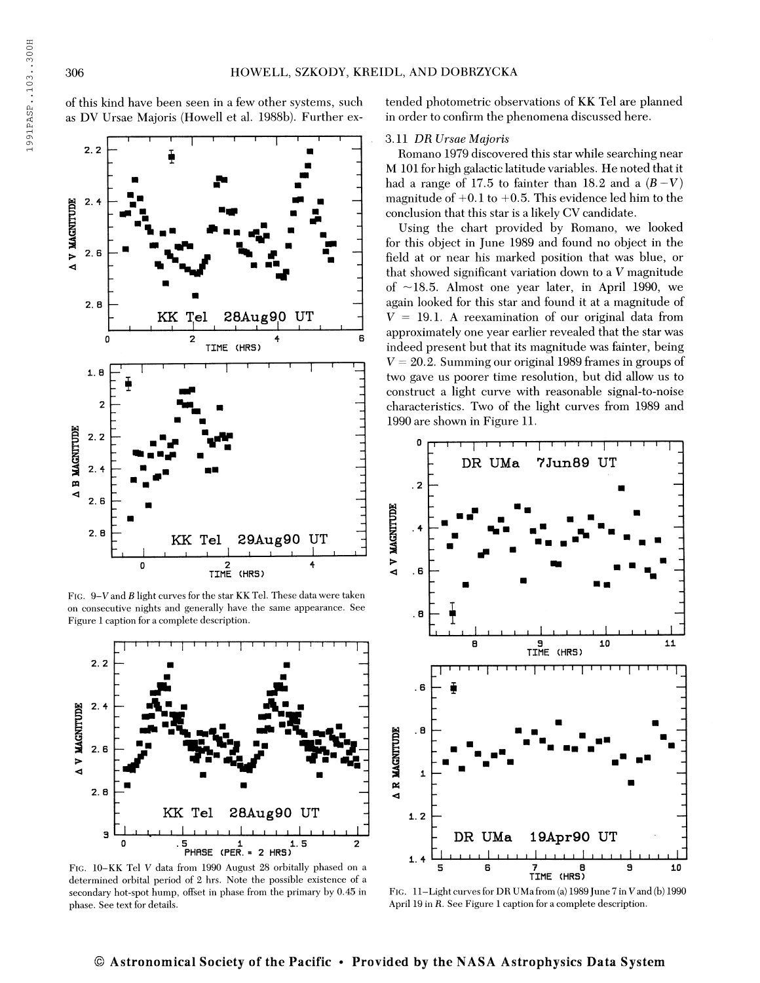of this kind have been seen in a few other systems, such as DV Ursae Majoris (Howell et al. 1988b). Further ex-



FIG.  $9-V$  and  $B$  light curves for the star KK Tel. These data were taken on consecutive nights and generally have the same appearance. See Figure <sup>1</sup> caption for a complete description.



Fig. 10-KK Tel V data from 1990 August 28 orbitally phased on a determined orbital period of 2 hrs. Note the possible existence of a secondary hot-spot hump, offset in phase from the primary by 0.45 in phase. See text for details.

tended photometric observations of KK Tel are planned in order to confirm the phenomena discussed here.

## 3.11 DR Ursae Majoris

Romano 1979 discovered this star while searching near M 101 for high galactic latitude variables. He noted that it had a range of 17.5 to fainter than 18.2 and a  $(B-V)$ magnitude of  $+0.1$  to  $+0.5$ . This evidence led him to the conclusion that this star is a likely CV candidate.

Using the chart provided by Romano, we looked for this object in June 1989 and found no object in the field at or near his marked position that was blue, or that showed significant variation down to a V magnitude of —18.5. Almost one year later, in April 1990, we again looked for this star and found it at a magnitude of  $V = 19.1$ . A reexamination of our original data from approximately one year earlier revealed that the star was indeed present but that its magnitude was fainter, being  $V = 20.2$ . Summing our original 1989 frames in groups of two gave us poorer time resolution, but did allow us to construct a light curve with reasonable signal-to-noise characteristics. Two of the light curves from 1989 and 1990 are shown in Figure 11.



FIG. 11-Light curves for DR UMa from (a) 1989 June 7 in V and (b) 1990 April 19 in R. See Figure <sup>1</sup> caption for a complete description.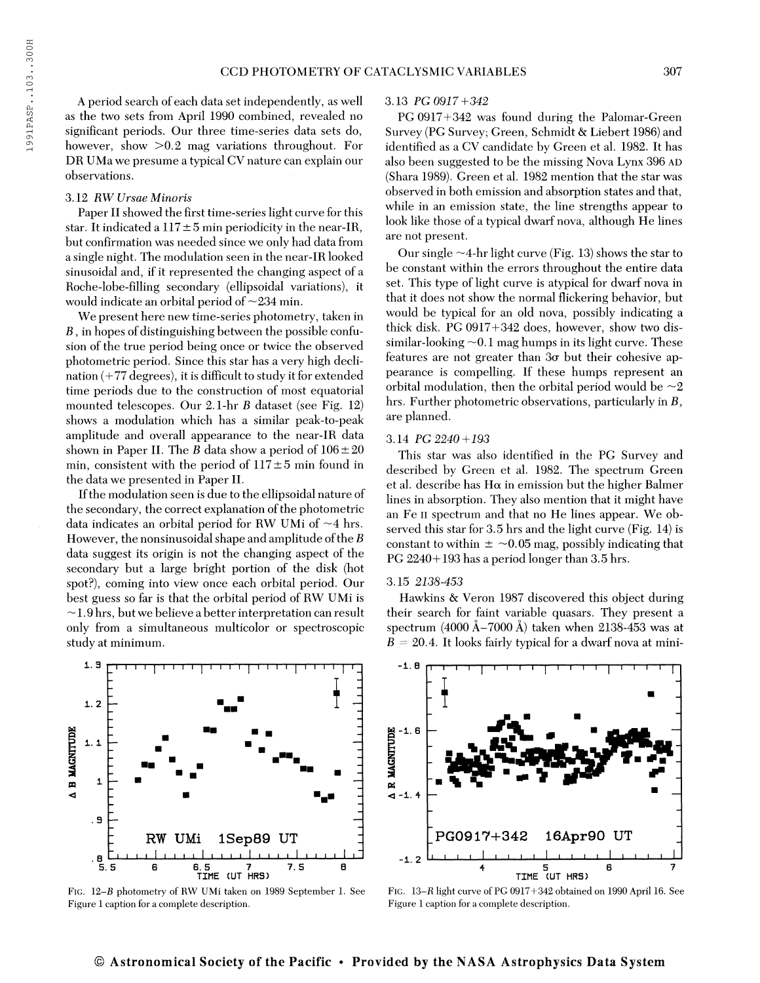A period search of each data set independently, as well as the two sets from April 1990 combined, revealed no significant periods. Our three time-series data sets do, however, show >0.2 mag variations throughout. For DR UMa we presume a typical CV nature can explain our observations.

## 3.12 RW Ursae Minoris

i. 3

Paper II showed the first time-series light curve for this star. It indicated a  $117 \pm 5$  min periodicity in the near-IR, but confirmation was needed since we only had data from a single night. The modulation seen in the near-IR looked sinusoidal and, if it represented the changing aspect of a Roche-lobe-filling secondary (ellipsoidal variations), it would indicate an orbital period of  $\sim$ 234 min.

We present here new time-series photometry, taken in  $B$ , in hopes of distinguishing between the possible confusion of the true period being once or twice the observed photometric period. Since this star has a very high declination (+77 degrees), it is difficult to study it for extended time periods due to the construction of most equatorial mounted telescopes. Our  $2.1$ -hr  $B$  dataset (see Fig. 12) shows a modulation which has a similar peak-to-peak amplitude and overall appearance to the near-IR data shown in Paper II. The B data show a period of  $106 \pm 20$ min, consistent with the period of  $117 \pm 5$  min found in the data we presented in Paper II.

Ifthe modulation seen is due to the ellipsoidal nature of the secondary, the correct explanation of the photometric data indicates an orbital period for RW UMi of  $\sim$ 4 hrs. However, the nonsinusoidal shape and amplitude of the  $B$ data suggest its origin is not the changing aspect of the secondary but a large bright portion of the disk (hot spot?), coming into view once each orbital period. Our best guess so far is that the orbital period of RW UMi is  $\sim$ 1.9 hrs, but we believe a better interpretation can result only from a simultaneous multicolor or spectroscopic study at minimum.

# 3.13 PG 0917+342

PC 0917+342 was found during the Palomar-Green Survey (PC Survey; Green, Schmidt & Liebert 1986) and identified as a CV candidate by Green et al. 1982. It has also been suggested to be the missing Nova Lynx 396 AD (Shara 1989). Green et al. 1982 mention that the star was observed in both emission and absorption states and that, while in an emission state, the line strengths appear to look like those of a typical dwarf nova, although He lines are not present.

Our single  $\sim$ 4-hr light curve (Fig. 13) shows the star to be constant within the errors throughout the entire data set. This type of light curve is atypical for dwarf nova in that it does not show the normal flickering behavior, but would be typical for an old nova, possibly indicating a thick disk. PC 0917+342 does, however, show two dissimilar-looking  $\sim$  0.1 mag humps in its light curve. These features are not greater than  $3\sigma$  but their cohesive appearance is compelling. If these humps represent an orbital modulation, then the orbital period would be  $\sim 2$ hrs. Further photometric observations, particularly in B, are planned.

#### 3.14 PG 2240+193

This star was also identified in the PG Survey and described by Green et al. 1982. The spectrum Green et al. describe has H $\alpha$  in emission but the higher Balmer lines in absorption. They also mention that it might have an Fe II spectrum and that no He lines appear. We observed this star for 3.5 hrs and the light curve (Fig. 14) is constant to within  $\pm \sim 0.05$  mag, possibly indicating that PG 2240+193 has a period longer than 3.5 hrs.

## 3.15 2138-453

Hawkins & Veron 1987 discovered this object during their search for faint variable quasars. They present a spectrum  $(4000 \text{ Å}-7000 \text{ Å})$  taken when 2138-453 was at  $B = 20.4$ . It looks fairly typical for a dwarf nova at mini-



Fig. 12-ß photometry of RW UMi taken on 1989 September 1. See Figure <sup>1</sup> caption for a complete description.



Fig. 13-K light curve of PG 0917+342 obtained on 1990 April 16. See Figure <sup>1</sup> caption for a complete description.

## © Astronomical Society of the Pacific · Provided by the NASA Astrophysics Data System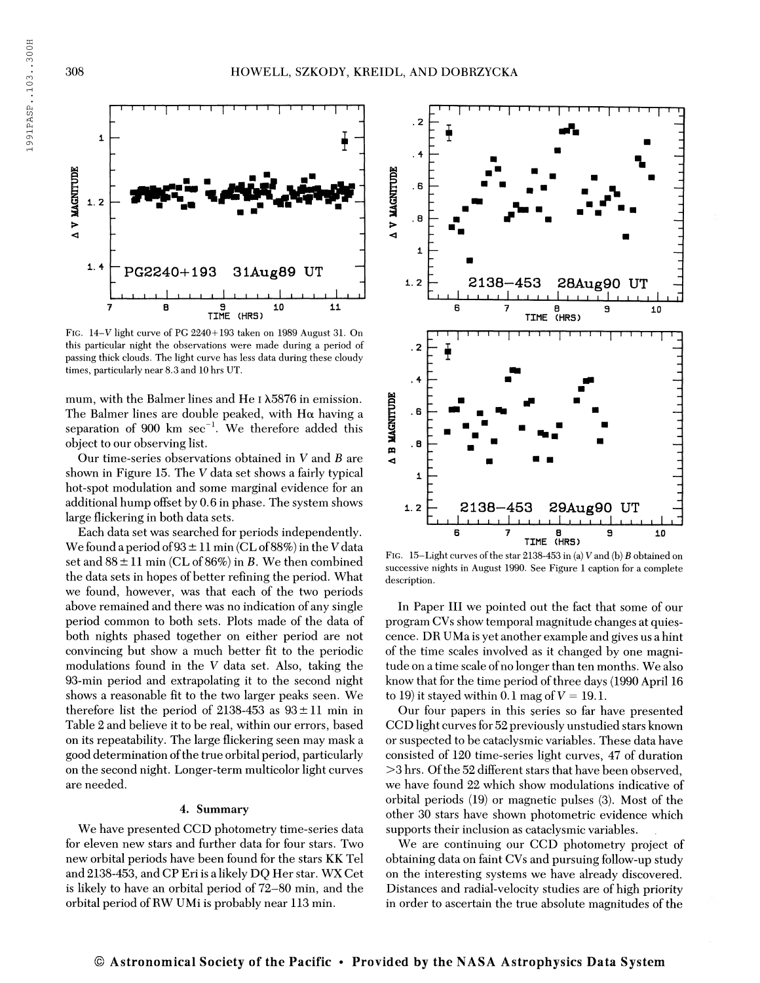

Fig. 14-V light curve of PG 2240+193 taken on 1989 August 31. On this particular night the observations were made during a period of passing thick clouds. The light curve has less data during these cloudy times, particularly near 8.3 and 10 hrs UT.

mum, with the Balmer lines and He 1  $\lambda5876$  in emission. The Balmer lines are double peaked, with  $H\alpha$  having a The Banner lines are double peaked, while I delaying a separation of 900 km sec<sup>-1</sup>. We therefore added this object to our observing list.

Our time-series observations obtained in  $V$  and  $B$  are shown in Figure 15. The V data set shows a fairly typical hot-spot modulation and some marginal evidence for an additional hump offset by 0.6 in phase. The system shows large flickering in both data sets.

Each data set was searched for periods independently. We found a period of  $93 \pm 11$  min (CL of 88%) in the V data set and  $88 \pm 11$  min (CL of  $86\%)$  in B. We then combined the data sets in hopes of better refining the period. What we found, however, was that each of the two periods above remained and there was no indication of any single period common to both sets. Plots made of the data of both nights phased together on either period are not convincing but show a much better fit to the periodic modulations found in the V data set. Also, taking the 93-min period and extrapolating it to the second night shows a reasonable fit to the two larger peaks seen. We therefore list the period of 2138-453 as  $93 \pm 11$  min in Table 2 and believe it to be real, within our errors, based on its repeatability. The large flickering seen may mask a good determination of the true orbital period, particularly on the second night. Longer-term multicolor light curves are needed.

#### 4. Summary

We have presented CCD photometry time-series data for eleven new stars and further data for four stars. Two new orbital periods have been found for the stars KK Tel and 2138-453, and CP Eriis a likely DQ Her star. WX Cet is likely to have an orbital period of 72-80 min, and the orbital period of RW UMi is probably near 113 min.



FIG. 15-Light curves of the star 2138-453 in (a) V and (b) B obtained on successive nights in August 1990. See Figure <sup>1</sup> caption for a complete description.

In Paper III we pointed out the fact that some of our program CVs show temporal magnitude changes at quiescence. DB UMa is yet another example and gives us a hint of the time scales involved as it changed by one magnitude on a time scale ofno longer than ten months. We also know that for the time period of three days (1990 April 16 to 19) it stayed within 0.1 mag of  $V = 19.1$ .

Our four papers in this series so far have presented CCD light curves for 52 previously unstudied stars known or suspected to be cataclysmic variables. These data have consisted of 120 time-series light curves, 47 of duration  $>$ 3 hrs. Of the 52 different stars that have been observed, we have found 22 which show modulations indicative of orbital periods (19) or magnetic pulses (3). Most of the other 30 stars have shown photometric evidence which supports their inclusion as cataclysmic variables.

We are continuing our CCD photometry project of obtaining data on faint CVs and pursuing follow-up study on the interesting systems we have already discovered. Distances and radial-velocity studies are of high priority in order to ascertain the true absolute magnitudes of the